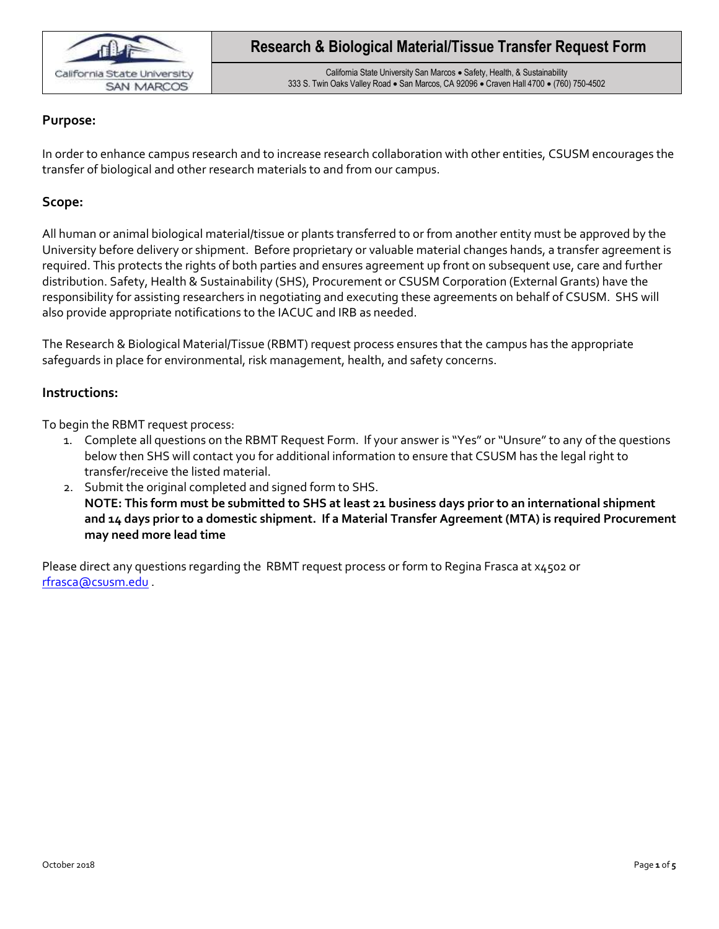

California State University San Marcos · Safety, Health, & Sustainability 333 S. Twin Oaks Valley Road . San Marcos, CA 92096 . Craven Hall 4700 . (760) 750-4502

### **Purpose:**

In order to enhance campus research and to increase research collaboration with other entities, CSUSM encourages the transfer of biological and other research materials to and from our campus.

### **Scope:**

All human or animal biological material/tissue or plants transferred to or from another entity must be approved by the University before delivery or shipment. Before proprietary or valuable material changes hands, a transfer agreement is required. This protects the rights of both parties and ensures agreement up front on subsequent use, care and further distribution. Safety, Health & Sustainability (SHS), Procurement or CSUSM Corporation (External Grants) have the responsibility for assisting researchers in negotiating and executing these agreements on behalf of CSUSM. SHS will also provide appropriate notifications to the IACUC and IRB as needed.

The Research & Biological Material/Tissue (RBMT) request process ensures that the campus has the appropriate safeguards in place for environmental, risk management, health, and safety concerns.

#### **Instructions:**

To begin the RBMT request process:

- 1. Complete all questions on the RBMT Request Form. If your answer is "Yes" or "Unsure" to any of the questions below then SHS will contact you for additional information to ensure that CSUSM has the legal right to transfer/receive the listed material.
- 2. Submit the original completed and signed form to SHS. **NOTE: This form must be submitted to SHS at least 21 business days prior to an international shipment and 14 days prior to a domestic shipment. If a Material Transfer Agreement (MTA) is required Procurement may need more lead time**

Please direct any questions regarding the RBMT request process or form to Regina Frasca at x4502 or rfrasca@csusm.edu .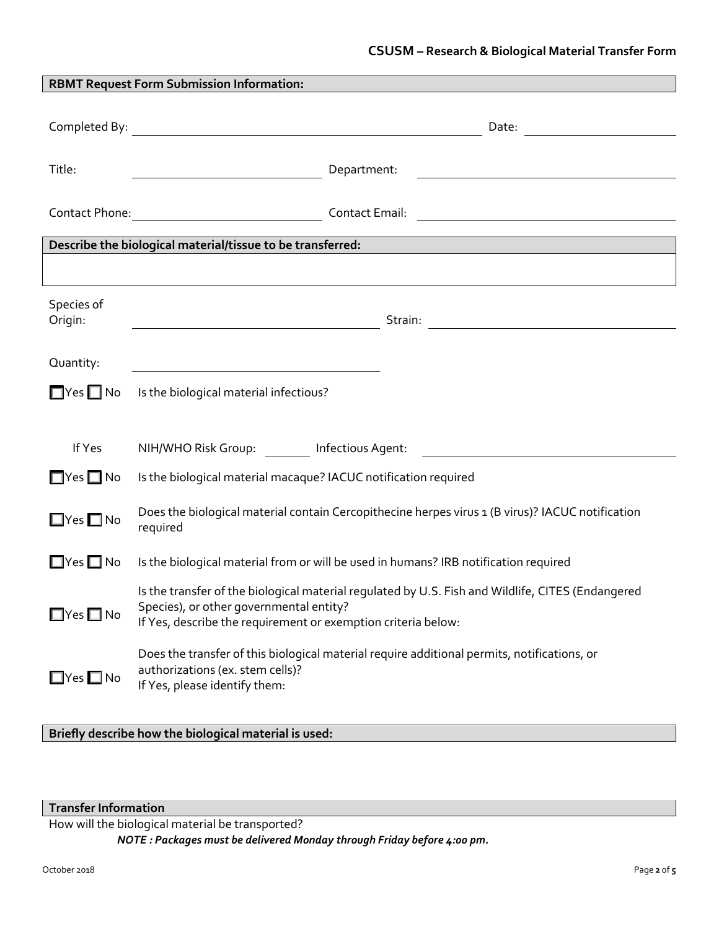| <b>RBMT Request Form Submission Information:</b> |                                                                                                                                                                                                                                                                                                                                                                                                                                                     |  |  |  |  |
|--------------------------------------------------|-----------------------------------------------------------------------------------------------------------------------------------------------------------------------------------------------------------------------------------------------------------------------------------------------------------------------------------------------------------------------------------------------------------------------------------------------------|--|--|--|--|
|                                                  |                                                                                                                                                                                                                                                                                                                                                                                                                                                     |  |  |  |  |
| Title:                                           | Department:<br>$\frac{1}{\sqrt{2\pi}}\left(\frac{1}{\sqrt{2\pi}}\right)^{1/2}\left(\frac{1}{\sqrt{2\pi}}\right)^{1/2}\left(\frac{1}{\sqrt{2\pi}}\right)^{1/2}\left(\frac{1}{\sqrt{2\pi}}\right)^{1/2}\left(\frac{1}{\sqrt{2\pi}}\right)^{1/2}\left(\frac{1}{\sqrt{2\pi}}\right)^{1/2}\left(\frac{1}{\sqrt{2\pi}}\right)^{1/2}\left(\frac{1}{\sqrt{2\pi}}\right)^{1/2}\left(\frac{1}{\sqrt{2\pi}}\right)^{1/2}\left(\frac{1}{\sqrt{2\pi}}\right)^{1$ |  |  |  |  |
|                                                  |                                                                                                                                                                                                                                                                                                                                                                                                                                                     |  |  |  |  |
|                                                  | Describe the biological material/tissue to be transferred: National Communication of the biological material                                                                                                                                                                                                                                                                                                                                        |  |  |  |  |
|                                                  |                                                                                                                                                                                                                                                                                                                                                                                                                                                     |  |  |  |  |
|                                                  |                                                                                                                                                                                                                                                                                                                                                                                                                                                     |  |  |  |  |
| Species of<br>Origin:                            | <u> 1989 - Johann Barn, fransk politik (</u>                                                                                                                                                                                                                                                                                                                                                                                                        |  |  |  |  |
|                                                  |                                                                                                                                                                                                                                                                                                                                                                                                                                                     |  |  |  |  |
| Quantity:                                        | <u> 1980 - Johann Barbara, martxa alemaniar a</u>                                                                                                                                                                                                                                                                                                                                                                                                   |  |  |  |  |
| $\square$ Yes $\square$ No                       | Is the biological material infectious?                                                                                                                                                                                                                                                                                                                                                                                                              |  |  |  |  |
|                                                  |                                                                                                                                                                                                                                                                                                                                                                                                                                                     |  |  |  |  |
| If Yes                                           |                                                                                                                                                                                                                                                                                                                                                                                                                                                     |  |  |  |  |
| $\Box$ Yes $\Box$ No                             | Is the biological material macaque? IACUC notification required                                                                                                                                                                                                                                                                                                                                                                                     |  |  |  |  |
| $\square$ Yes $\square$ No                       | Does the biological material contain Cercopithecine herpes virus 1 (B virus)? IACUC notification<br>required                                                                                                                                                                                                                                                                                                                                        |  |  |  |  |
| $\Box$ Yes $\Box$ No                             | Is the biological material from or will be used in humans? IRB notification required                                                                                                                                                                                                                                                                                                                                                                |  |  |  |  |
| $\Box$ Yes $\Box$ No                             | Is the transfer of the biological material regulated by U.S. Fish and Wildlife, CITES (Endangered<br>Species), or other governmental entity?<br>If Yes, describe the requirement or exemption criteria below:                                                                                                                                                                                                                                       |  |  |  |  |
| $\Box$ Yes $\Box$ No                             | Does the transfer of this biological material require additional permits, notifications, or<br>authorizations (ex. stem cells)?<br>If Yes, please identify them:                                                                                                                                                                                                                                                                                    |  |  |  |  |

**Briefly describe how the biological material is used:**

**Transfer Information**

How will the biological material be transported?

*NOTE : Packages must be delivered Monday through Friday before 4:00 pm.*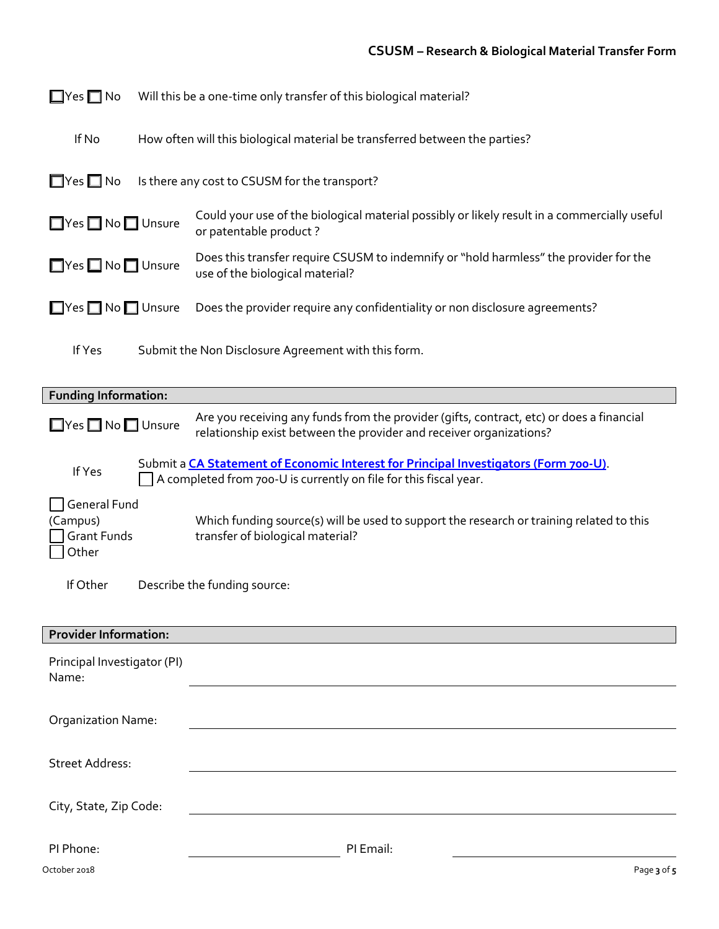| $\square$ Yes $\square$ No                              | Will this be a one-time only transfer of this biological material?          |                                                                                                                                                                 |  |  |  |
|---------------------------------------------------------|-----------------------------------------------------------------------------|-----------------------------------------------------------------------------------------------------------------------------------------------------------------|--|--|--|
| If No                                                   | How often will this biological material be transferred between the parties? |                                                                                                                                                                 |  |  |  |
| $\Box$ Yes $\Box$ No                                    | Is there any cost to CSUSM for the transport?                               |                                                                                                                                                                 |  |  |  |
| ■Yes ■ No ■ Unsure                                      |                                                                             | Could your use of the biological material possibly or likely result in a commercially useful<br>or patentable product?                                          |  |  |  |
| ■Yes ■ No ■ Unsure                                      |                                                                             | Does this transfer require CSUSM to indemnify or "hold harmless" the provider for the<br>use of the biological material?                                        |  |  |  |
| ■Yes ■ No ■ Unsure                                      |                                                                             | Does the provider require any confidentiality or non disclosure agreements?                                                                                     |  |  |  |
| If Yes                                                  |                                                                             | Submit the Non Disclosure Agreement with this form.                                                                                                             |  |  |  |
| <b>Funding Information:</b>                             |                                                                             |                                                                                                                                                                 |  |  |  |
| ■Yes ■ No ■ Unsure                                      |                                                                             | Are you receiving any funds from the provider (gifts, contract, etc) or does a financial<br>relationship exist between the provider and receiver organizations? |  |  |  |
| If Yes                                                  |                                                                             | Submit a CA Statement of Economic Interest for Principal Investigators (Form 700-U).<br>A completed from 700-U is currently on file for this fiscal year.       |  |  |  |
| General Fund<br>(Campus)<br><b>Grant Funds</b><br>Other |                                                                             | Which funding source(s) will be used to support the research or training related to this<br>transfer of biological material?                                    |  |  |  |
| If Other                                                |                                                                             | Describe the funding source:                                                                                                                                    |  |  |  |
| <b>Provider Information:</b>                            |                                                                             |                                                                                                                                                                 |  |  |  |
| Principal Investigator (PI)<br>Name:                    |                                                                             |                                                                                                                                                                 |  |  |  |
| Organization Name:                                      |                                                                             |                                                                                                                                                                 |  |  |  |
| <b>Street Address:</b>                                  |                                                                             |                                                                                                                                                                 |  |  |  |
| City, State, Zip Code:                                  |                                                                             |                                                                                                                                                                 |  |  |  |
| PI Phone:<br>October 2018                               |                                                                             | PI Email:<br>Page 3 of 5                                                                                                                                        |  |  |  |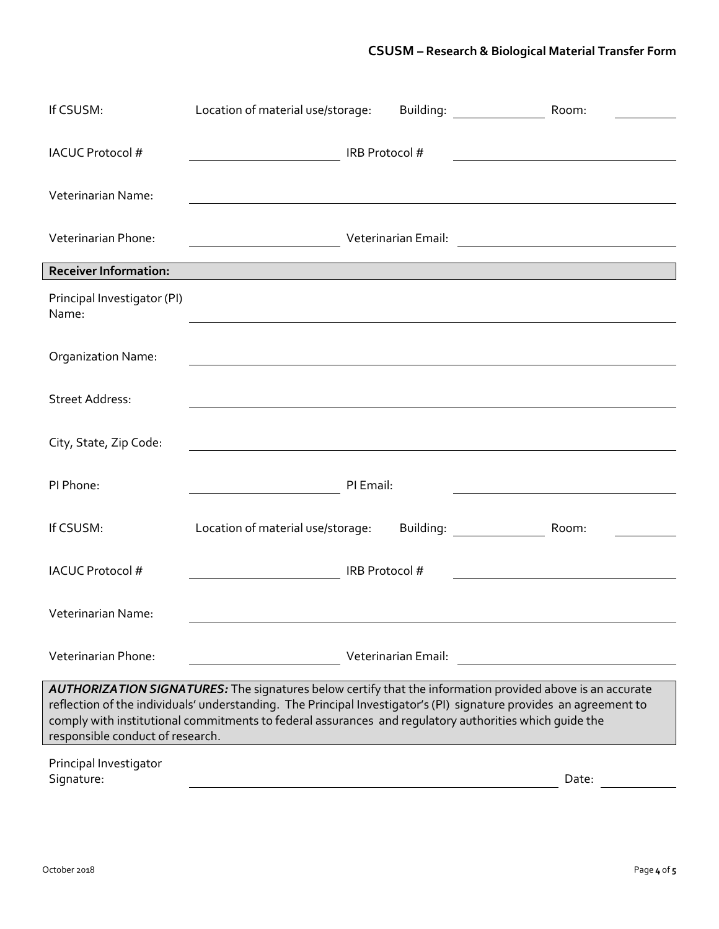# **CSUSM – Research & Biological Material Transfer Form**

| If CSUSM:                                                                                                                                                                                                                                                                                                                                                                     | Location of material use/storage: |                     | Building: <u>_____________</u>                                                                                  | Room: |  |  |  |
|-------------------------------------------------------------------------------------------------------------------------------------------------------------------------------------------------------------------------------------------------------------------------------------------------------------------------------------------------------------------------------|-----------------------------------|---------------------|-----------------------------------------------------------------------------------------------------------------|-------|--|--|--|
| <b>IACUC Protocol #</b>                                                                                                                                                                                                                                                                                                                                                       |                                   | IRB Protocol #      |                                                                                                                 |       |  |  |  |
| Veterinarian Name:                                                                                                                                                                                                                                                                                                                                                            |                                   |                     |                                                                                                                 |       |  |  |  |
| Veterinarian Phone:                                                                                                                                                                                                                                                                                                                                                           |                                   |                     |                                                                                                                 |       |  |  |  |
| <b>Receiver Information:</b>                                                                                                                                                                                                                                                                                                                                                  |                                   |                     |                                                                                                                 |       |  |  |  |
| Principal Investigator (PI)<br>Name:                                                                                                                                                                                                                                                                                                                                          |                                   |                     |                                                                                                                 |       |  |  |  |
| <b>Organization Name:</b>                                                                                                                                                                                                                                                                                                                                                     |                                   |                     |                                                                                                                 |       |  |  |  |
| <b>Street Address:</b>                                                                                                                                                                                                                                                                                                                                                        |                                   |                     |                                                                                                                 |       |  |  |  |
| City, State, Zip Code:                                                                                                                                                                                                                                                                                                                                                        |                                   |                     |                                                                                                                 |       |  |  |  |
| PI Phone:                                                                                                                                                                                                                                                                                                                                                                     |                                   | PI Email:           |                                                                                                                 |       |  |  |  |
| If CSUSM:                                                                                                                                                                                                                                                                                                                                                                     | Location of material use/storage: |                     | Building: Note that the set of the set of the set of the set of the set of the set of the set of the set of the | Room: |  |  |  |
| <b>IACUC Protocol #</b>                                                                                                                                                                                                                                                                                                                                                       |                                   | IRB Protocol #      |                                                                                                                 |       |  |  |  |
| Veterinarian Name:                                                                                                                                                                                                                                                                                                                                                            |                                   |                     |                                                                                                                 |       |  |  |  |
| Veterinarian Phone:                                                                                                                                                                                                                                                                                                                                                           |                                   | Veterinarian Email: |                                                                                                                 |       |  |  |  |
|                                                                                                                                                                                                                                                                                                                                                                               |                                   |                     |                                                                                                                 |       |  |  |  |
| AUTHORIZATION SIGNATURES: The signatures below certify that the information provided above is an accurate<br>reflection of the individuals' understanding. The Principal Investigator's (PI) signature provides an agreement to<br>comply with institutional commitments to federal assurances and regulatory authorities which guide the<br>responsible conduct of research. |                                   |                     |                                                                                                                 |       |  |  |  |
| Principal Investigator<br>Signature:                                                                                                                                                                                                                                                                                                                                          |                                   |                     |                                                                                                                 | Date: |  |  |  |
|                                                                                                                                                                                                                                                                                                                                                                               |                                   |                     |                                                                                                                 |       |  |  |  |